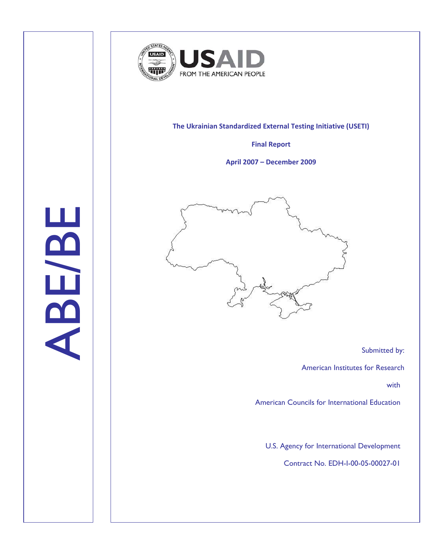

## **The Ukrainian Standardized External Testing Initiative (USETI)**

**Final Report**

**April 2007 – December 2009**



Submitted by:

American Institutes for Research

with

American Councils for International Education

U.S. Agency for International Development

Contract No. EDH-I-00-05-00027-01

ABE/BE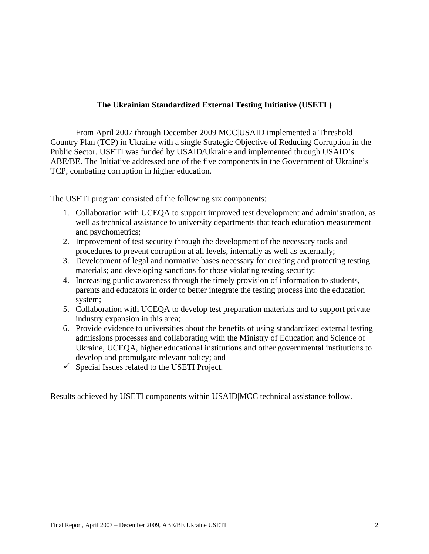# **The Ukrainian Standardized External Testing Initiative (USETI )**

From April 2007 through December 2009 MCC|USAID implemented a Threshold Country Plan (TCP) in Ukraine with a single Strategic Objective of Reducing Corruption in the Public Sector. USETI was funded by USAID/Ukraine and implemented through USAID's ABE/BE. The Initiative addressed one of the five components in the Government of Ukraine's TCP, combating corruption in higher education.

The USETI program consisted of the following six components:

- 1. Collaboration with UCEQA to support improved test development and administration, as well as technical assistance to university departments that teach education measurement and psychometrics;
- 2. Improvement of test security through the development of the necessary tools and procedures to prevent corruption at all levels, internally as well as externally;
- 3. Development of legal and normative bases necessary for creating and protecting testing materials; and developing sanctions for those violating testing security;
- 4. Increasing public awareness through the timely provision of information to students, parents and educators in order to better integrate the testing process into the education system;
- 5. Collaboration with UCEQA to develop test preparation materials and to support private industry expansion in this area;
- 6. Provide evidence to universities about the benefits of using standardized external testing admissions processes and collaborating with the Ministry of Education and Science of Ukraine, UCEQA, higher educational institutions and other governmental institutions to develop and promulgate relevant policy; and
- $\checkmark$  Special Issues related to the USETI Project.

Results achieved by USETI components within USAID|MCC technical assistance follow.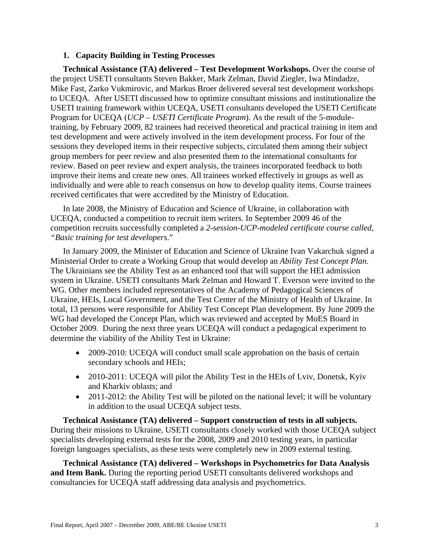## **1. Capacity Building in Testing Processes**

**Technical Assistance (TA) delivered – Test Development Workshops.** Over the course of the project USETI consultants Steven Bakker, Mark Zelman, David Ziegler, Iwa Mindadze, Mike Fast, Zarko Vukmirovic, and Markus Broer delivered several test development workshops to UCEQA. After USETI discussed how to optimize consultant missions and institutionalize the USETI training framework within UCEQA, USETI consultants developed the USETI Certificate Program for UCEQA (*UCP – USETI Certificate Program*). As the result of the 5-moduletraining, by February 2009, 82 trainees had received theoretical and practical training in item and test development and were actively involved in the item development process. For four of the sessions they developed items in their respective subjects, circulated them among their subject group members for peer review and also presented them to the international consultants for review. Based on peer review and expert analysis, the trainees incorporated feedback to both improve their items and create new ones. All trainees worked effectively in groups as well as individually and were able to reach consensus on how to develop quality items. Course trainees received certificates that were accredited by the Ministry of Education.

In late 2008, the Ministry of Education and Science of Ukraine, in collaboration with UCEQA, conducted a competition to recruit item writers. In September 2009 46 of the competition recruits successfully completed a *2-session-UCP-modeled certificate course called, "Basic training for test developers*."

In January 2009, the Minister of Education and Science of Ukraine Ivan Vakarchuk signed a Ministerial Order to create a Working Group that would develop an *Ability Test Concept Plan*. The Ukrainians see the Ability Test as an enhanced tool that will support the HEI admission system in Ukraine. USETI consultants Mark Zelman and Howard T. Everson were invited to the WG. Other members included representatives of the Academy of Pedagogical Sciences of Ukraine, HEIs, Local Government, and the Test Center of the Ministry of Health of Ukraine. In total, 13 persons were responsible for Ability Test Concept Plan development. By June 2009 the WG had developed the Concept Plan, which was reviewed and accepted by MoES Board in October 2009. During the next three years UCEQA will conduct a pedagogical experiment to determine the viability of the Ability Test in Ukraine:

- 2009-2010: UCEQA will conduct small scale approbation on the basis of certain secondary schools and HEIs;
- 2010-2011: UCEQA will pilot the Ability Test in the HEIs of Lviv, Donetsk, Kyiv and Kharkiv oblasts; and
- 2011-2012: the Ability Test will be piloted on the national level; it will be voluntary in addition to the usual UCEQA subject tests.

**Technical Assistance (TA) delivered – Support construction of tests in all subjects.**  During their missions to Ukraine, USETI consultants closely worked with those UCEQA subject specialists developing external tests for the 2008, 2009 and 2010 testing years, in particular foreign languages specialists, as these tests were completely new in 2009 external testing.

**Technical Assistance (TA) delivered – Workshops in Psychometrics for Data Analysis and Item Bank.** During the reporting period USETI consultants delivered workshops and consultancies for UCEQA staff addressing data analysis and psychometrics.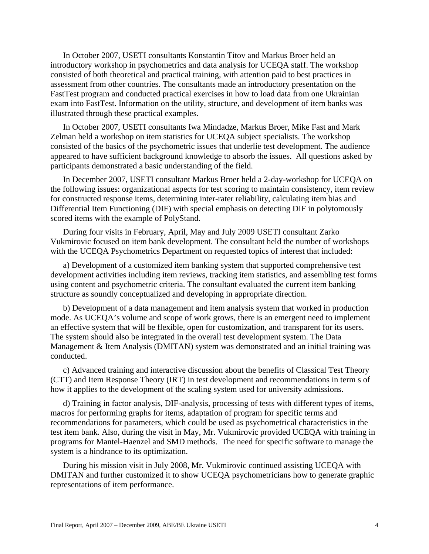In October 2007, USETI consultants Konstantin Titov and Markus Broer held an introductory workshop in psychometrics and data analysis for UCEQA staff. The workshop consisted of both theoretical and practical training, with attention paid to best practices in assessment from other countries. The consultants made an introductory presentation on the FastTest program and conducted practical exercises in how to load data from one Ukrainian exam into FastTest. Information on the utility, structure, and development of item banks was illustrated through these practical examples.

In October 2007, USETI consultants Iwa Mindadze, Markus Broer, Mike Fast and Mark Zelman held a workshop on item statistics for UCEQA subject specialists. The workshop consisted of the basics of the psychometric issues that underlie test development. The audience appeared to have sufficient background knowledge to absorb the issues. All questions asked by participants demonstrated a basic understanding of the field.

In December 2007, USETI consultant Markus Broer held a 2-day-workshop for UCEQA on the following issues: organizational aspects for test scoring to maintain consistency, item review for constructed response items, determining inter-rater reliability, calculating item bias and Differential Item Functioning (DIF) with special emphasis on detecting DIF in polytomously scored items with the example of PolyStand.

During four visits in February, April, May and July 2009 USETI consultant Zarko Vukmirovic focused on item bank development. The consultant held the number of workshops with the UCEQA Psychometrics Department on requested topics of interest that included:

a) Development of a customized item banking system that supported comprehensive test development activities including item reviews, tracking item statistics, and assembling test forms using content and psychometric criteria. The consultant evaluated the current item banking structure as soundly conceptualized and developing in appropriate direction.

b) Development of a data management and item analysis system that worked in production mode. As UCEQA's volume and scope of work grows, there is an emergent need to implement an effective system that will be flexible, open for customization, and transparent for its users. The system should also be integrated in the overall test development system. The Data Management & Item Analysis (DMITAN) system was demonstrated and an initial training was conducted.

c) Advanced training and interactive discussion about the benefits of Classical Test Theory (CTT) and Item Response Theory (IRT) in test development and recommendations in term s of how it applies to the development of the scaling system used for university admissions.

d) Training in factor analysis, DIF-analysis, processing of tests with different types of items, macros for performing graphs for items, adaptation of program for specific terms and recommendations for parameters, which could be used as psychometrical characteristics in the test item bank. Also, during the visit in May, Mr. Vukmirovic provided UCEQA with training in programs for Mantel-Haenzel and SMD methods. The need for specific software to manage the system is a hindrance to its optimization.

During his mission visit in July 2008, Mr. Vukmirovic continued assisting UCEQA with DMITAN and further customized it to show UCEQA psychometricians how to generate graphic representations of item performance.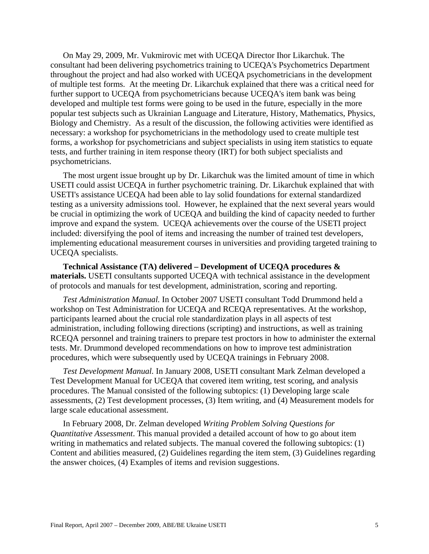On May 29, 2009, Mr. Vukmirovic met with UCEQA Director Ihor Likarchuk. The consultant had been delivering psychometrics training to UCEQA's Psychometrics Department throughout the project and had also worked with UCEQA psychometricians in the development of multiple test forms. At the meeting Dr. Likarchuk explained that there was a critical need for further support to UCEQA from psychometricians because UCEQA's item bank was being developed and multiple test forms were going to be used in the future, especially in the more popular test subjects such as Ukrainian Language and Literature, History, Mathematics, Physics, Biology and Chemistry. As a result of the discussion, the following activities were identified as necessary: a workshop for psychometricians in the methodology used to create multiple test forms, a workshop for psychometricians and subject specialists in using item statistics to equate tests, and further training in item response theory (IRT) for both subject specialists and psychometricians.

The most urgent issue brought up by Dr. Likarchuk was the limited amount of time in which USETI could assist UCEQA in further psychometric training. Dr. Likarchuk explained that with USETI's assistance UCEQA had been able to lay solid foundations for external standardized testing as a university admissions tool. However, he explained that the next several years would be crucial in optimizing the work of UCEQA and building the kind of capacity needed to further improve and expand the system. UCEQA achievements over the course of the USETI project included: diversifying the pool of items and increasing the number of trained test developers, implementing educational measurement courses in universities and providing targeted training to UCEQA specialists.

**Technical Assistance (TA) delivered – Development of UCEQA procedures & materials.** USETI consultants supported UCEQA with technical assistance in the development of protocols and manuals for test development, administration, scoring and reporting.

*Test Administration Manual.* In October 2007 USETI consultant Todd Drummond held a workshop on Test Administration for UCEQA and RCEQA representatives. At the workshop, participants learned about the crucial role standardization plays in all aspects of test administration, including following directions (scripting) and instructions, as well as training RCEQA personnel and training trainers to prepare test proctors in how to administer the external tests. Mr. Drummond developed recommendations on how to improve test administration procedures, which were subsequently used by UCEQA trainings in February 2008.

*Test Development Manual.* In January 2008, USETI consultant Mark Zelman developed a Test Development Manual for UCEQA that covered item writing, test scoring, and analysis procedures. The Manual consisted of the following subtopics: (1) Developing large scale assessments, (2) Test development processes, (3) Item writing, and (4) Measurement models for large scale educational assessment.

In February 2008, Dr. Zelman developed *Writing Problem Solving Questions for Quantitative Assessment*. This manual provided a detailed account of how to go about item writing in mathematics and related subjects. The manual covered the following subtopics: (1) Content and abilities measured, (2) Guidelines regarding the item stem, (3) Guidelines regarding the answer choices, (4) Examples of items and revision suggestions.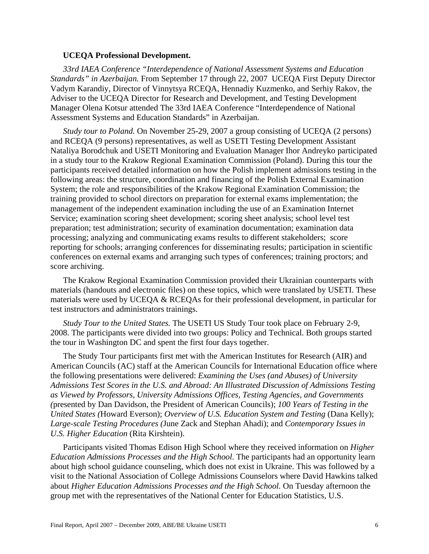#### **UCEQA Professional Development.**

*33rd IAEA Conference "Interdependence of National Assessment Systems and Education Standards" in Azerbaijan.* From September 17 through 22, 2007 UCEQA First Deputy Director Vadym Karandiy, Director of Vinnytsya RCEQA, Hennadiy Kuzmenko, and Serhiy Rakov, the Adviser to the UCEQA Director for Research and Development, and Testing Development Manager Olena Kotsur attended The 33rd IAEA Conference "Interdependence of National Assessment Systems and Education Standards" in Azerbaijan.

*Study tour to Poland.* On November 25-29, 2007 a group consisting of UCEQA (2 persons) and RCEQA (9 persons) representatives, as well as USETI Testing Development Assistant Nataliya Borodchuk and USETI Monitoring and Evaluation Manager Ihor Andreyko participated in a study tour to the Krakow Regional Examination Commission (Poland). During this tour the participants received detailed information on how the Polish implement admissions testing in the following areas: the structure, coordination and financing of the Polish External Examination System; the role and responsibilities of the Krakow Regional Examination Commission; the training provided to school directors on preparation for external exams implementation; the management of the independent examination including the use of an Examination Internet Service; examination scoring sheet development; scoring sheet analysis; school level test preparation; test administration; security of examination documentation; examination data processing; analyzing and communicating exams results to different stakeholders; score reporting for schools; arranging conferences for disseminating results; participation in scientific conferences on external exams and arranging such types of conferences; training proctors; and score archiving.

The Krakow Regional Examination Commission provided their Ukrainian counterparts with materials (handouts and electronic files) on these topics, which were translated by USETI. These materials were used by UCEQA & RCEQAs for their professional development, in particular for test instructors and administrators trainings.

*Study Tour to the United States.* The USETI US Study Tour took place on February 2-9, 2008. The participants were divided into two groups: Policy and Technical. Both groups started the tour in Washington DC and spent the first four days together.

The Study Tour participants first met with the American Institutes for Research (AIR) and American Councils (AC) staff at the American Councils for International Education office where the following presentations were delivered: *Examining the Uses (and Abuses) of University Admissions Test Scores in the U.S. and Abroad: An Illustrated Discussion of Admissions Testing as Viewed by Professors, University Admissions Offices, Testing Agencies, and Governments (*presented by Dan Davidson, the President of American Councils); *100 Years of Testing in the United States (*Howard Everson); *Overview of U.S. Education System and Testing* (Dana Kelly); *Large-scale Testing Procedures (*June Zack and Stephan Ahadi); and *Contemporary Issues in U.S. Higher Education* (Rita Kirshtein).

Participants visited Thomas Edison High School where they received information on *Higher Education Admissions Processes and the High School*. The participants had an opportunity learn about high school guidance counseling, which does not exist in Ukraine. This was followed by a visit to the National Association of College Admissions Counselors where David Hawkins talked about *Higher Education Admissions Processes and the High School.* On Tuesday afternoon the group met with the representatives of the National Center for Education Statistics, U.S.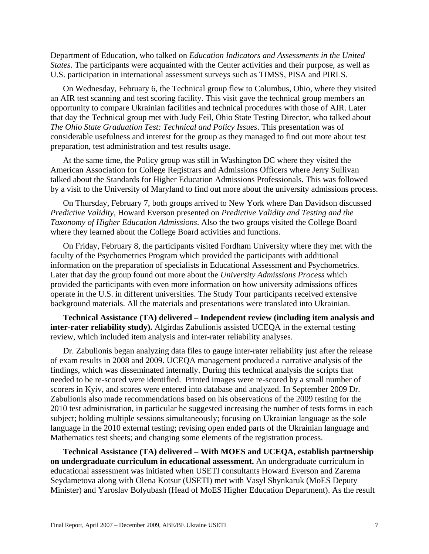Department of Education, who talked on *Education Indicators and Assessments in the United States*. The participants were acquainted with the Center activities and their purpose, as well as U.S. participation in international assessment surveys such as TIMSS, PISA and PIRLS.

On Wednesday, February 6, the Technical group flew to Columbus, Ohio, where they visited an AIR test scanning and test scoring facility. This visit gave the technical group members an opportunity to compare Ukrainian facilities and technical procedures with those of AIR. Later that day the Technical group met with Judy Feil, Ohio State Testing Director, who talked about *The Ohio State Graduation Test: Technical and Policy Issues*. This presentation was of considerable usefulness and interest for the group as they managed to find out more about test preparation, test administration and test results usage.

At the same time, the Policy group was still in Washington DC where they visited the American Association for College Registrars and Admissions Officers where Jerry Sullivan talked about the Standards for Higher Education Admissions Professionals. This was followed by a visit to the University of Maryland to find out more about the university admissions process.

On Thursday, February 7, both groups arrived to New York where Dan Davidson discussed *Predictive Validity*, Howard Everson presented on *Predictive Validity and Testing and the Taxonomy of Higher Education Admissions*. Also the two groups visited the College Board where they learned about the College Board activities and functions.

On Friday, February 8, the participants visited Fordham University where they met with the faculty of the Psychometrics Program which provided the participants with additional information on the preparation of specialists in Educational Assessment and Psychometrics. Later that day the group found out more about the *University Admissions Process* which provided the participants with even more information on how university admissions offices operate in the U.S. in different universities. The Study Tour participants received extensive background materials. All the materials and presentations were translated into Ukrainian.

**Technical Assistance (TA) delivered – Independent review (including item analysis and inter-rater reliability study).** Algirdas Zabulionis assisted UCEQA in the external testing review, which included item analysis and inter-rater reliability analyses.

Dr. Zabulionis began analyzing data files to gauge inter-rater reliability just after the release of exam results in 2008 and 2009. UCEQA management produced a narrative analysis of the findings, which was disseminated internally. During this technical analysis the scripts that needed to be re-scored were identified. Printed images were re-scored by a small number of scorers in Kyiv, and scores were entered into database and analyzed. In September 2009 Dr. Zabulionis also made recommendations based on his observations of the 2009 testing for the 2010 test administration, in particular he suggested increasing the number of tests forms in each subject; holding multiple sessions simultaneously; focusing on Ukrainian language as the sole language in the 2010 external testing; revising open ended parts of the Ukrainian language and Mathematics test sheets; and changing some elements of the registration process.

**Technical Assistance (TA) delivered – With MOES and UCEQA, establish partnership on undergraduate curriculum in educational assessment.** An undergraduate curriculum in educational assessment was initiated when USETI consultants Howard Everson and Zarema Seydametova along with Olena Kotsur (USETI) met with Vasyl Shynkaruk (MoES Deputy Minister) and Yaroslav Bolyubash (Head of MoES Higher Education Department). As the result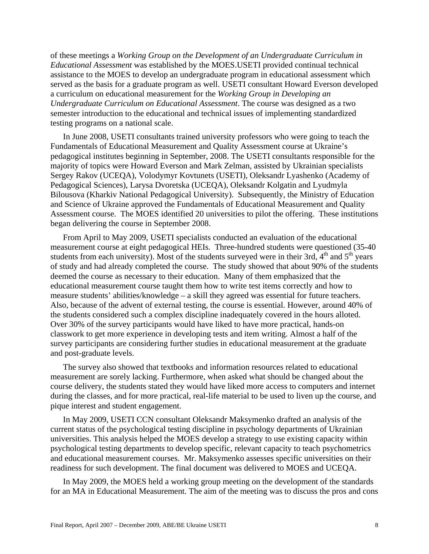of these meetings a *Working Group on the Development of an Undergraduate Curriculum in Educational Assessment* was established by the MOES.USETI provided continual technical assistance to the MOES to develop an undergraduate program in educational assessment which served as the basis for a graduate program as well. USETI consultant Howard Everson developed a curriculum on educational measurement for the *Working Group in Developing an Undergraduate Curriculum on Educational Assessment*. The course was designed as a two semester introduction to the educational and technical issues of implementing standardized testing programs on a national scale.

In June 2008, USETI consultants trained university professors who were going to teach the Fundamentals of Educational Measurement and Quality Assessment course at Ukraine's pedagogical institutes beginning in September, 2008. The USETI consultants responsible for the majority of topics were Howard Everson and Mark Zelman, assisted by Ukrainian specialists Sergey Rakov (UCEQA), Volodymyr Kovtunets (USETI), Oleksandr Lyashenko (Academy of Pedagogical Sciences), Larysa Dvoretska (UCEQA), Oleksandr Kolgatin and Lyudmyla Bilousova (Kharkiv National Pedagogical University). Subsequently, the Ministry of Education and Science of Ukraine approved the Fundamentals of Educational Measurement and Quality Assessment course. The MOES identified 20 universities to pilot the offering. These institutions began delivering the course in September 2008.

From April to May 2009, USETI specialists conducted an evaluation of the educational measurement course at eight pedagogical HEIs. Three-hundred students were questioned (35-40 students from each university). Most of the students surveyed were in their 3rd,  $4<sup>th</sup>$  and  $5<sup>th</sup>$  years of study and had already completed the course. The study showed that about 90% of the students deemed the course as necessary to their education. Many of them emphasized that the educational measurement course taught them how to write test items correctly and how to measure students' abilities/knowledge – a skill they agreed was essential for future teachers. Also, because of the advent of external testing, the course is essential. However, around 40% of the students considered such a complex discipline inadequately covered in the hours alloted. Over 30% of the survey participants would have liked to have more practical, hands-on classwork to get more experience in developing tests and item writing. Almost a half of the survey participants are considering further studies in educational measurement at the graduate and post-graduate levels.

The survey also showed that textbooks and information resources related to educational measurement are sorely lacking. Furthermore, when asked what should be changed about the course delivery, the students stated they would have liked more access to computers and internet during the classes, and for more practical, real-life material to be used to liven up the course, and pique interest and student engagement.

In May 2009, USETI CCN consultant Oleksandr Maksymenko drafted an analysis of the current status of the psychological testing discipline in psychology departments of Ukrainian universities. This analysis helped the MOES develop a strategy to use existing capacity within psychological testing departments to develop specific, relevant capacity to teach psychometrics and educational measurement courses. Mr. Maksymenko assesses specific universities on their readiness for such development. The final document was delivered to MOES and UCEQA.

In May 2009, the MOES held a working group meeting on the development of the standards for an MA in Educational Measurement. The aim of the meeting was to discuss the pros and cons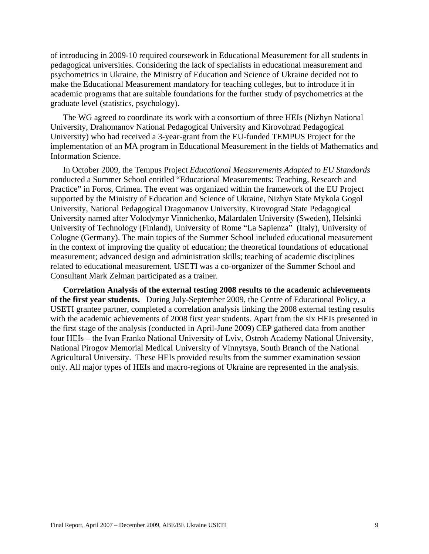of introducing in 2009-10 required coursework in Educational Measurement for all students in pedagogical universities. Considering the lack of specialists in educational measurement and psychometrics in Ukraine, the Ministry of Education and Science of Ukraine decided not to make the Educational Measurement mandatory for teaching colleges, but to introduce it in academic programs that are suitable foundations for the further study of psychometrics at the graduate level (statistics, psychology).

The WG agreed to coordinate its work with a consortium of three HEIs (Nizhyn National University, Drahomanov National Pedagogical University and Kirovohrad Pedagogical University) who had received a 3-year-grant from the EU-funded TEMPUS Project for the implementation of an MA program in Educational Measurement in the fields of Mathematics and Information Science.

In October 2009, the Tempus Project *Educational Measurements Adapted to EU Standards* conducted a Summer School entitled "Educational Measurements: Teaching, Research and Practice" in Foros, Crimea. The event was organized within the framework of the EU Project supported by the Ministry of Education and Science of Ukraine, Nizhyn State Mykola Gogol University, National Pedagogical Dragomanov University, Kirovograd State Pedagogical University named after Volodymyr Vinnichenko, Mälardalen University (Sweden), Helsinki University of Technology (Finland), University of Rome "La Sapienza" (Italy), University of Cologne (Germany). The main topics of the Summer School included educational measurement in the context of improving the quality of education; the theoretical foundations of educational measurement; advanced design and administration skills; teaching of academic disciplines related to educational measurement. USETI was a co-organizer of the Summer School and Consultant Mark Zelman participated as a trainer.

**Correlation Analysis of the external testing 2008 results to the academic achievements of the first year students.** During July-September 2009, the Centre of Educational Policy, a USETI grantee partner, completed a correlation analysis linking the 2008 external testing results with the academic achievements of 2008 first year students. Apart from the six HEIs presented in the first stage of the analysis (conducted in April-June 2009) CEP gathered data from another four HEIs – the Ivan Franko National University of Lviv, Ostroh Academy National University, National Pirogov Memorial Medical University of Vinnytsya, South Branch of the National Agricultural University. These HEIs provided results from the summer examination session only. All major types of HEIs and macro-regions of Ukraine are represented in the analysis.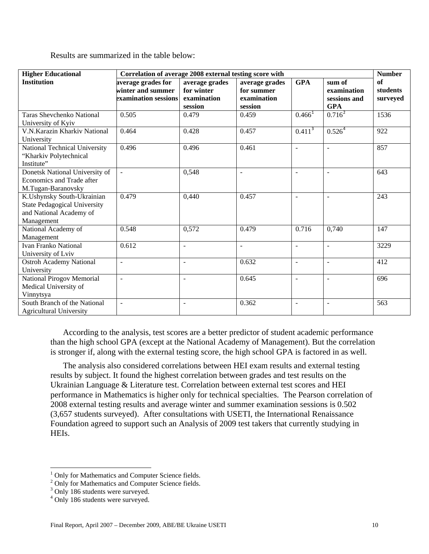Results are summarized in the table below:

| <b>Higher Educational</b>           | Correlation of average 2008 external testing score with |                |                |                          |                          |          |
|-------------------------------------|---------------------------------------------------------|----------------|----------------|--------------------------|--------------------------|----------|
| <b>Institution</b>                  | average grades for                                      | average grades | average grades | <b>GPA</b>               | sum of                   | of       |
|                                     | winter and summer                                       | for winter     | for summer     |                          | examination              | students |
|                                     | examination sessions                                    | examination    | examination    |                          | sessions and             | surveyed |
|                                     |                                                         | session        | session        |                          | <b>GPA</b>               |          |
| <b>Taras Shevchenko National</b>    | 0.505                                                   | 0.479          | 0.459          | $0.466^{1}$              | $0.716^{2}$              | 1536     |
| University of Kyiv                  |                                                         |                |                |                          |                          |          |
| V.N.Karazin Kharkiv National        | 0.464                                                   | 0.428          | 0.457          | 0.411 <sup>3</sup>       | 0.526 <sup>4</sup>       | 922      |
| University                          |                                                         |                |                |                          |                          |          |
| National Technical University       | 0.496                                                   | 0.496          | 0.461          | $\blacksquare$           | $\overline{\phantom{a}}$ | 857      |
| "Kharkiv Polytechnical              |                                                         |                |                |                          |                          |          |
| Institute"                          |                                                         |                |                |                          |                          |          |
| Donetsk National University of      | $\overline{\phantom{a}}$                                | 0,548          | $\overline{a}$ | $\overline{\phantom{a}}$ | ÷,                       | 643      |
| Economics and Trade after           |                                                         |                |                |                          |                          |          |
| M.Tugan-Baranovsky                  |                                                         |                |                |                          |                          |          |
| K.Ushynsky South-Ukrainian          | 0.479                                                   | 0,440          | 0.457          | L,                       | $\overline{a}$           | 243      |
| <b>State Pedagogical University</b> |                                                         |                |                |                          |                          |          |
| and National Academy of             |                                                         |                |                |                          |                          |          |
| Management                          |                                                         |                |                |                          |                          |          |
| National Academy of                 | 0.548                                                   | 0,572          | 0.479          | 0.716                    | 0,740                    | 147      |
| Management                          |                                                         |                |                |                          |                          |          |
| <b>Ivan Franko National</b>         | 0.612                                                   | $\blacksquare$ | $\sim$         | $\overline{\phantom{a}}$ | $\blacksquare$           | 3229     |
| University of Lviv                  |                                                         |                |                |                          |                          |          |
| <b>Ostroh Academy National</b>      | $\blacksquare$                                          | $\blacksquare$ | 0.632          | $\blacksquare$           | ÷,                       | 412      |
| University                          |                                                         |                |                |                          |                          |          |
| <b>National Pirogov Memorial</b>    | $\blacksquare$                                          | $\overline{a}$ | 0.645          | $\overline{a}$           | $\blacksquare$           | 696      |
| Medical University of               |                                                         |                |                |                          |                          |          |
| Vinnytsya                           |                                                         |                |                |                          |                          |          |
| South Branch of the National        | $\sim$                                                  | $\blacksquare$ | 0.362          | $\overline{a}$           | $\blacksquare$           | 563      |
| <b>Agricultural University</b>      |                                                         |                |                |                          |                          |          |

According to the analysis, test scores are a better predictor of student academic performance than the high school GPA (except at the National Academy of Management). But the correlation is stronger if, along with the external testing score, the high school GPA is factored in as well.

The analysis also considered correlations between HEI exam results and external testing results by subject. It found the highest correlation between grades and test results on the Ukrainian Language & Literature test. Correlation between external test scores and HEI performance in Mathematics is higher only for technical specialties. The Pearson correlation of 2008 external testing results and average winter and summer examination sessions is 0.502 (3,657 students surveyed). After consultations with USETI, the International Renaissance Foundation agreed to support such an Analysis of 2009 test takers that currently studying in HEIs.

<span id="page-9-0"></span> 1 Only for Mathematics and Computer Science fields.

<span id="page-9-1"></span><sup>&</sup>lt;sup>2</sup> Only for Mathematics and Computer Science fields.

<span id="page-9-2"></span><sup>&</sup>lt;sup>3</sup> Only 186 students were surveyed.

<span id="page-9-3"></span><sup>&</sup>lt;sup>4</sup> Only 186 students were surveyed.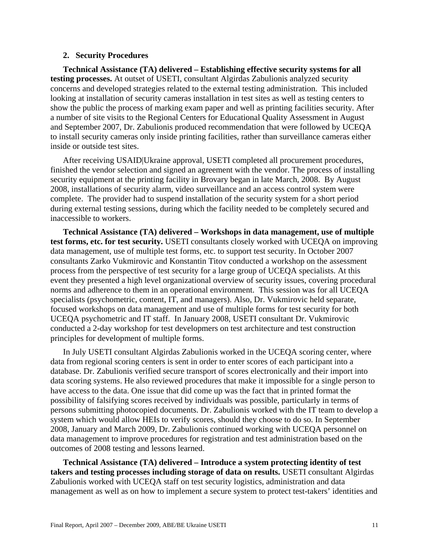#### **2. Security Procedures**

**Technical Assistance (TA) delivered – Establishing effective security systems for all testing processes.** At outset of USETI, consultant Algirdas Zabulionis analyzed security concerns and developed strategies related to the external testing administration. This included looking at installation of security cameras installation in test sites as well as testing centers to show the public the process of marking exam paper and well as printing facilities security. After a number of site visits to the Regional Centers for Educational Quality Assessment in August and September 2007, Dr. Zabulionis produced recommendation that were followed by UCEQA to install security cameras only inside printing facilities, rather than surveillance cameras either inside or outside test sites.

After receiving USAID|Ukraine approval, USETI completed all procurement procedures, finished the vendor selection and signed an agreement with the vendor. The process of installing security equipment at the printing facility in Brovary began in late March, 2008. By August 2008, installations of security alarm, video surveillance and an access control system were complete. The provider had to suspend installation of the security system for a short period during external testing sessions, during which the facility needed to be completely secured and inaccessible to workers.

**Technical Assistance (TA) delivered – Workshops in data management, use of multiple test forms, etc. for test security.** USETI consultants closely worked with UCEQA on improving data management, use of multiple test forms, etc. to support test security. In October 2007 consultants Zarko Vukmirovic and Konstantin Titov conducted a workshop on the assessment process from the perspective of test security for a large group of UCEQA specialists. At this event they presented a high level organizational overview of security issues, covering procedural norms and adherence to them in an operational environment. This session was for all UCEQA specialists (psychometric, content, IT, and managers). Also, Dr. Vukmirovic held separate, focused workshops on data management and use of multiple forms for test security for both UCEQA psychometric and IT staff. In January 2008, USETI consultant Dr. Vukmirovic conducted a 2-day workshop for test developmers on test architecture and test construction principles for development of multiple forms.

In July USETI consultant Algirdas Zabulionis worked in the UCEQA scoring center, where data from regional scoring centers is sent in order to enter scores of each participant into a database. Dr. Zabulionis verified secure transport of scores electronically and their import into data scoring systems. He also reviewed procedures that make it impossible for a single person to have access to the data. One issue that did come up was the fact that in printed format the possibility of falsifying scores received by individuals was possible, particularly in terms of persons submitting photocopied documents. Dr. Zabulionis worked with the IT team to develop a system which would allow HEIs to verify scores, should they choose to do so. In September 2008, January and March 2009, Dr. Zabulionis continued working with UCEQA personnel on data management to improve procedures for registration and test administration based on the outcomes of 2008 testing and lessons learned.

**Technical Assistance (TA) delivered – Introduce a system protecting identity of test takers and testing processes including storage of data on results.** USETI consultant Algirdas Zabulionis worked with UCEQA staff on test security logistics, administration and data management as well as on how to implement a secure system to protect test-takers' identities and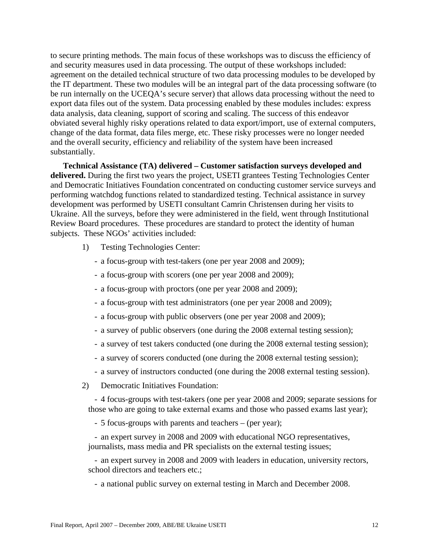to secure printing methods. The main focus of these workshops was to discuss the efficiency of and security measures used in data processing. The output of these workshops included: agreement on the detailed technical structure of two data processing modules to be developed by the IT department. These two modules will be an integral part of the data processing software (to be run internally on the UCEQA's secure server) that allows data processing without the need to export data files out of the system. Data processing enabled by these modules includes: express data analysis, data cleaning, support of scoring and scaling. The success of this endeavor obviated several highly risky operations related to data export/import, use of external computers, change of the data format, data files merge, etc. These risky processes were no longer needed and the overall security, efficiency and reliability of the system have been increased substantially.

**Technical Assistance (TA) delivered – Customer satisfaction surveys developed and delivered.** During the first two years the project, USETI grantees Testing Technologies Center and Democratic Initiatives Foundation concentrated on conducting customer service surveys and performing watchdog functions related to standardized testing. Technical assistance in survey development was performed by USETI consultant Camrin Christensen during her visits to Ukraine. All the surveys, before they were administered in the field, went through Institutional Review Board procedures. These procedures are standard to protect the identity of human subjects. These NGOs' activities included:

- 1) Testing Technologies Center:
	- a focus-group with test-takers (one per year 2008 and 2009);
	- a focus-group with scorers (one per year 2008 and 2009);
	- a focus-group with proctors (one per year 2008 and 2009);
	- a focus-group with test administrators (one per year 2008 and 2009);
	- a focus-group with public observers (one per year 2008 and 2009);
	- a survey of public observers (one during the 2008 external testing session);
	- a survey of test takers conducted (one during the 2008 external testing session);
	- a survey of scorers conducted (one during the 2008 external testing session);
	- a survey of instructors conducted (one during the 2008 external testing session).
- 2) Democratic Initiatives Foundation:

- 4 focus-groups with test-takers (one per year 2008 and 2009; separate sessions for those who are going to take external exams and those who passed exams last year);

- 5 focus-groups with parents and teachers – (per year);

- an expert survey in 2008 and 2009 with educational NGO representatives, journalists, mass media and PR specialists on the external testing issues;

- an expert survey in 2008 and 2009 with leaders in education, university rectors, school directors and teachers etc.;

- a national public survey on external testing in March and December 2008.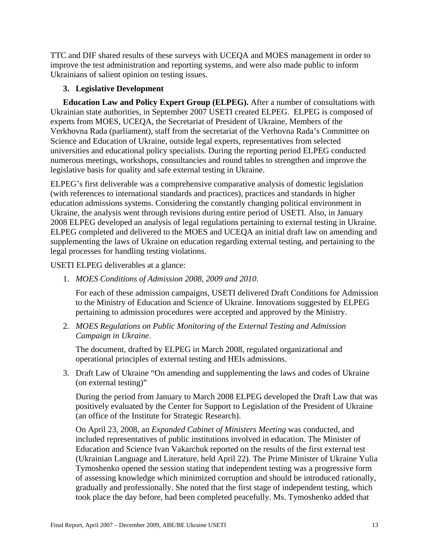TTC and DIF shared results of these surveys with UCEQA and MOES management in order to improve the test administration and reporting systems, and were also made public to inform Ukrainians of salient opinion on testing issues.

# **3. Legislative Development**

**Education Law and Policy Expert Group (ELPEG).** After a number of consultations with Ukrainian state authorities, in September 2007 USETI created ELPEG. ELPEG is composed of experts from MOES, UCEQA, the Secretariat of President of Ukraine, Members of the Verkhovna Rada (parliament), staff from the secretariat of the Verhovna Rada's Committee on Science and Education of Ukraine, outside legal experts, representatives from selected universities and educational policy specialists. During the reporting period ELPEG conducted numerous meetings, workshops, consultancies and round tables to strengthen and improve the legislative basis for quality and safe external testing in Ukraine.

ELPEG's first deliverable was a comprehensive comparative analysis of domestic legislation (with references to international standards and practices), practices and standards in higher education admissions systems. Considering the constantly changing political environment in Ukraine, the analysis went through revisions during entire period of USETI. Also, in January 2008 ELPEG developed an analysis of legal regulations pertaining to external testing in Ukraine. ELPEG completed and delivered to the MOES and UCEQA an initial draft law on amending and supplementing the laws of Ukraine on education regarding external testing, and pertaining to the legal processes for handling testing violations.

USETI ELPEG deliverables at a glance:

1. *MOES Conditions of Admission 2008, 2009 and 2010*.

For each of these admission campaigns, USETI delivered Draft Conditions for Admission to the Ministry of Education and Science of Ukraine. Innovations suggested by ELPEG pertaining to admission procedures were accepted and approved by the Ministry.

2. *MOES Regulations on Public Monitoring of the External Testing and Admission Campaign in Ukraine*.

The document, drafted by ELPEG in March 2008, regulated organizational and operational principles of external testing and HEIs admissions.

3. Draft Law of Ukraine "On amending and supplementing the laws and codes of Ukraine (on external testing)"

During the period from January to March 2008 ELPEG developed the Draft Law that was positively evaluated by the Center for Support to Legislation of the President of Ukraine (an office of the Institute for Strategic Research).

On April 23, 2008, an *Expanded Cabinet of Ministers Meeting* was conducted, and included representatives of public institutions involved in education. The Minister of Education and Science Ivan Vakarchuk reported on the results of the first external test (Ukrainian Language and Literature, held April 22). The Prime Minister of Ukraine Yulia Tymoshenko opened the session stating that independent testing was a progressive form of assessing knowledge which minimized corruption and should be introduced rationally, gradually and professionally. She noted that the first stage of independent testing, which took place the day before, had been completed peacefully. Ms. Tymoshenko added that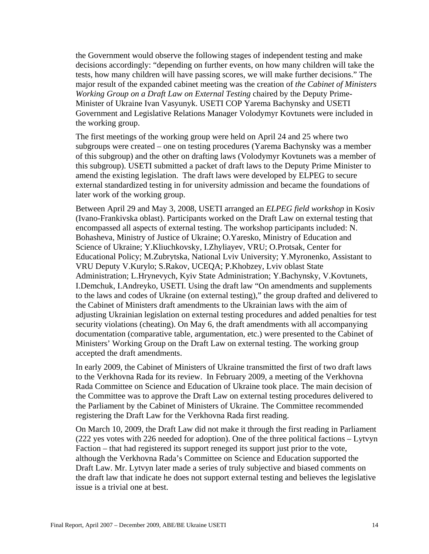the Government would observe the following stages of independent testing and make decisions accordingly: "depending on further events, on how many children will take the tests, how many children will have passing scores, we will make further decisions." The major result of the expanded cabinet meeting was the creation of *the Cabinet of Ministers Working Group on a Draft Law on External Testing* chaired by the Deputy Prime-Minister of Ukraine Ivan Vasyunyk. USETI COP Yarema Bachynsky and USETI Government and Legislative Relations Manager Volodymyr Kovtunets were included in the working group.

The first meetings of the working group were held on April 24 and 25 where two subgroups were created – one on testing procedures (Yarema Bachynsky was a member of this subgroup) and the other on drafting laws (Volodymyr Kovtunets was a member of this subgroup). USETI submitted a packet of draft laws to the Deputy Prime Minister to amend the existing legislation. The draft laws were developed by ELPEG to secure external standardized testing in for university admission and became the foundations of later work of the working group.

Between April 29 and May 3, 2008, USETI arranged an *ELPEG field workshop* in Kosiv (Ivano-Frankivska oblast). Participants worked on the Draft Law on external testing that encompassed all aspects of external testing. The workshop participants included: N. Bohasheva, Ministry of Justice of Ukraine; O.Yaresko, Ministry of Education and Science of Ukraine; Y.Kliuchkovsky, I.Zhyliayev, VRU; O.Protsak, Center for Educational Policy; M.Zubrytska, National Lviv University; Y.Myronenko, Assistant to VRU Deputy V.Kurylo; S.Rakov, UCEQA; P.Khobzey, Lviv oblast State Administration; L.Hrynevych, Kyiv State Administration; Y.Bachynsky, V.Kovtunets, I.Demchuk, I.Andreyko, USETI. Using the draft law "On amendments and supplements to the laws and codes of Ukraine (on external testing)," the group drafted and delivered to the Cabinet of Ministers draft amendments to the Ukrainian laws with the aim of adjusting Ukrainian legislation on external testing procedures and added penalties for test security violations (cheating). On May 6, the draft amendments with all accompanying documentation (comparative table, argumentation, etc.) were presented to the Cabinet of Ministers' Working Group on the Draft Law on external testing. The working group accepted the draft amendments.

In early 2009, the Cabinet of Ministers of Ukraine transmitted the first of two draft laws to the Verkhovna Rada for its review. In February 2009, a meeting of the Verkhovna Rada Committee on Science and Education of Ukraine took place. The main decision of the Committee was to approve the Draft Law on external testing procedures delivered to the Parliament by the Cabinet of Ministers of Ukraine. The Committee recommended registering the Draft Law for the Verkhovna Rada first reading.

On March 10, 2009, the Draft Law did not make it through the first reading in Parliament (222 yes votes with 226 needed for adoption). One of the three political factions – Lytvyn Faction – that had registered its support reneged its support just prior to the vote, although the Verkhovna Rada's Committee on Science and Education supported the Draft Law. Mr. Lytvyn later made a series of truly subjective and biased comments on the draft law that indicate he does not support external testing and believes the legislative issue is a trivial one at best.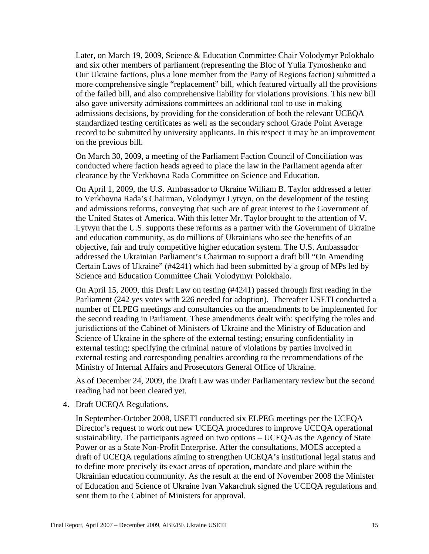Later, on March 19, 2009, Science & Education Committee Chair Volodymyr Polokhalo and six other members of parliament (representing the Bloc of Yulia Tymoshenko and Our Ukraine factions, plus a lone member from the Party of Regions faction) submitted a more comprehensive single "replacement" bill, which featured virtually all the provisions of the failed bill, and also comprehensive liability for violations provisions. This new bill also gave university admissions committees an additional tool to use in making admissions decisions, by providing for the consideration of both the relevant UCEQA standardized testing certificates as well as the secondary school Grade Point Average record to be submitted by university applicants. In this respect it may be an improvement on the previous bill.

On March 30, 2009, a meeting of the Parliament Faction Council of Conciliation was conducted where faction heads agreed to place the law in the Parliament agenda after clearance by the Verkhovna Rada Committee on Science and Education.

On April 1, 2009, the U.S. Ambassador to Ukraine William B. Taylor addressed a letter to Verkhovna Rada's Chairman, Volodymyr Lytvyn, on the development of the testing and admissions reforms, conveying that such are of great interest to the Government of the United States of America. With this letter Mr. Taylor brought to the attention of V. Lytvyn that the U.S. supports these reforms as a partner with the Government of Ukraine and education community, as do millions of Ukrainians who see the benefits of an objective, fair and truly competitive higher education system. The U.S. Ambassador addressed the Ukrainian Parliament's Chairman to support a draft bill "On Amending Certain Laws of Ukraine" (#4241) which had been submitted by a group of MPs led by Science and Education Committee Chair Volodymyr Polokhalo.

On April 15, 2009, this Draft Law on testing (#4241) passed through first reading in the Parliament (242 yes votes with 226 needed for adoption). Thereafter USETI conducted a number of ELPEG meetings and consultancies on the amendments to be implemented for the second reading in Parliament. These amendments dealt with: specifying the roles and jurisdictions of the Cabinet of Ministers of Ukraine and the Ministry of Education and Science of Ukraine in the sphere of the external testing; ensuring confidentiality in external testing; specifying the criminal nature of violations by parties involved in external testing and corresponding penalties according to the recommendations of the Ministry of Internal Affairs and Prosecutors General Office of Ukraine.

As of December 24, 2009, the Draft Law was under Parliamentary review but the second reading had not been cleared yet.

4. Draft UCEQA Regulations.

In September-October 2008, USETI conducted six ELPEG meetings per the UCEQA Director's request to work out new UCEQA procedures to improve UCEQA operational sustainability. The participants agreed on two options – UCEQA as the Agency of State Power or as a State Non-Profit Enterprise. After the consultations, MOES accepted a draft of UCEQA regulations aiming to strengthen UCEQA's institutional legal status and to define more precisely its exact areas of operation, mandate and place within the Ukrainian education community. As the result at the end of November 2008 the Minister of Education and Science of Ukraine Ivan Vakarchuk signed the UCEQA regulations and sent them to the Cabinet of Ministers for approval.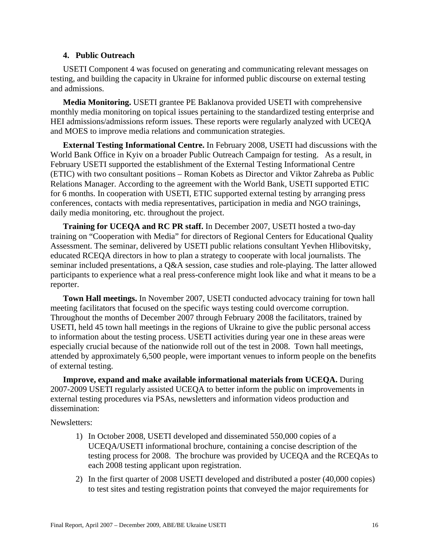### **4. Public Outreach**

USETI Component 4 was focused on generating and communicating relevant messages on testing, and building the capacity in Ukraine for informed public discourse on external testing and admissions.

**Media Monitoring.** USETI grantee PE Baklanova provided USETI with comprehensive monthly media monitoring on topical issues pertaining to the standardized testing enterprise and HEI admissions/admissions reform issues. These reports were regularly analyzed with UCEQA and MOES to improve media relations and communication strategies.

**External Testing Informational Centre.** In February 2008, USETI had discussions with the World Bank Office in Kyiv on a broader Public Outreach Campaign for testing. As a result, in February USETI supported the establishment of the External Testing Informational Centre (ETIC) with two consultant positions – Roman Kobets as Director and Viktor Zahreba as Public Relations Manager. According to the agreement with the World Bank, USETI supported ETIC for 6 months. In cooperation with USETI, ETIC supported external testing by arranging press conferences, contacts with media representatives, participation in media and NGO trainings, daily media monitoring, etc. throughout the project.

**Training for UCEQA and RC PR staff.** In December 2007, USETI hosted a two-day training on "Cooperation with Media" for directors of Regional Centers for Educational Quality Assessment. The seminar, delivered by USETI public relations consultant Yevhen Hlibovitsky, educated RCEQA directors in how to plan a strategy to cooperate with local journalists. The seminar included presentations, a Q&A session, case studies and role-playing. The latter allowed participants to experience what a real press-conference might look like and what it means to be a reporter.

**Town Hall meetings.** In November 2007, USETI conducted advocacy training for town hall meeting facilitators that focused on the specific ways testing could overcome corruption. Throughout the months of December 2007 through February 2008 the facilitators, trained by USETI, held 45 town hall meetings in the regions of Ukraine to give the public personal access to information about the testing process. USETI activities during year one in these areas were especially crucial because of the nationwide roll out of the test in 2008. Town hall meetings, attended by approximately 6,500 people, were important venues to inform people on the benefits of external testing.

**Improve, expand and make available informational materials from UCEQA.** During 2007-2009 USETI regularly assisted UCEQA to better inform the public on improvements in external testing procedures via PSAs, newsletters and information videos production and dissemination:

Newsletters:

- 1) In October 2008, USETI developed and disseminated 550,000 copies of a UCEQA/USETI informational brochure, containing a concise description of the testing process for 2008. The brochure was provided by UCEQA and the RCEQAs to each 2008 testing applicant upon registration.
- 2) In the first quarter of 2008 USETI developed and distributed a poster (40,000 copies) to test sites and testing registration points that conveyed the major requirements for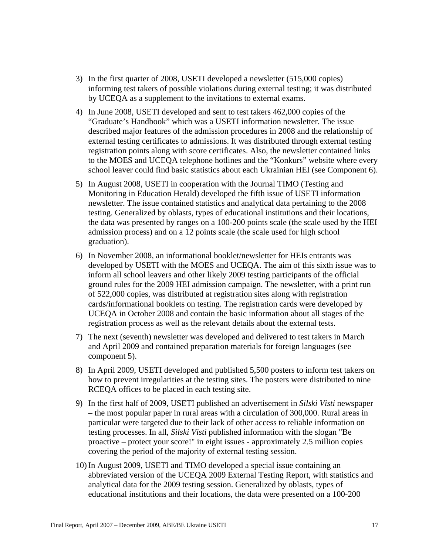- 3) In the first quarter of 2008, USETI developed a newsletter (515,000 copies) informing test takers of possible violations during external testing; it was distributed by UCEQA as a supplement to the invitations to external exams.
- 4) In June 2008, USETI developed and sent to test takers 462,000 copies of the "Graduate's Handbook" which was a USETI information newsletter. The issue described major features of the admission procedures in 2008 and the relationship of external testing certificates to admissions. It was distributed through external testing registration points along with score certificates. Also, the newsletter contained links to the MOES and UCEQA telephone hotlines and the "Konkurs" website where every school leaver could find basic statistics about each Ukrainian HEI (see Component 6).
- 5) In August 2008, USETI in cooperation with the Journal TIMO (Testing and Monitoring in Education Herald) developed the fifth issue of USETI information newsletter. The issue contained statistics and analytical data pertaining to the 2008 testing. Generalized by oblasts, types of educational institutions and their locations, the data was presented by ranges on a 100-200 points scale (the scale used by the HEI admission process) and on a 12 points scale (the scale used for high school graduation).
- 6) In November 2008, an informational booklet/newsletter for HEIs entrants was developed by USETI with the MOES and UCEQA. The aim of this sixth issue was to inform all school leavers and other likely 2009 testing participants of the official ground rules for the 2009 HEI admission campaign. The newsletter, with a print run of 522,000 copies, was distributed at registration sites along with registration cards/informational booklets on testing. The registration cards were developed by UCEQA in October 2008 and contain the basic information about all stages of the registration process as well as the relevant details about the external tests.
- 7) The next (seventh) newsletter was developed and delivered to test takers in March and April 2009 and contained preparation materials for foreign languages (see component 5).
- 8) In April 2009, USETI developed and published 5,500 posters to inform test takers on how to prevent irregularities at the testing sites. The posters were distributed to nine RCEQA offices to be placed in each testing site.
- 9) In the first half of 2009, USETI published an advertisement in *Silski Visti* newspaper – the most popular paper in rural areas with a circulation of 300,000. Rural areas in particular were targeted due to their lack of other access to reliable information on testing processes. In all, *Silski Visti* published information with the slogan "Be proactive – protect your score!" in eight issues - approximately 2.5 million copies covering the period of the majority of external testing session.
- 10) In August 2009, USETI and TIMO developed a special issue containing an abbreviated version of the UCEQA 2009 External Testing Report, with statistics and analytical data for the 2009 testing session. Generalized by oblasts, types of educational institutions and their locations, the data were presented on a 100-200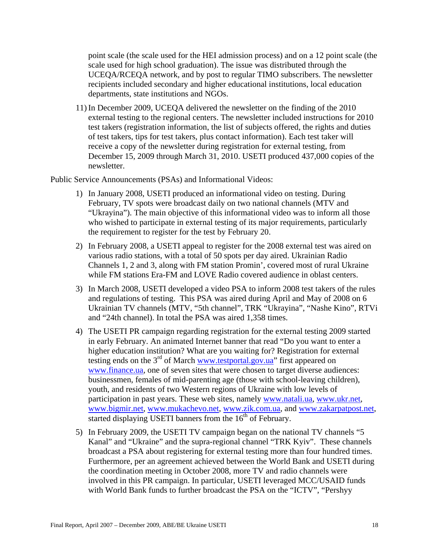point scale (the scale used for the HEI admission process) and on a 12 point scale (the scale used for high school graduation). The issue was distributed through the UCEQA/RCEQA network, and by post to regular TIMO subscribers. The newsletter recipients included secondary and higher educational institutions, local education departments, state institutions and NGOs.

11) In December 2009, UCEQA delivered the newsletter on the finding of the 2010 external testing to the regional centers. The newsletter included instructions for 2010 test takers (registration information, the list of subjects offered, the rights and duties of test takers, tips for test takers, plus contact information). Each test taker will receive a copy of the newsletter during registration for external testing, from December 15, 2009 through March 31, 2010. USETI produced 437,000 copies of the newsletter.

Public Service Announcements (PSAs) and Informational Videos:

- 1) In January 2008, USETI produced an informational video on testing. During February, TV spots were broadcast daily on two national channels (MTV and "Ukrayina"). The main objective of this informational video was to inform all those who wished to participate in external testing of its major requirements, particularly the requirement to register for the test by February 20.
- 2) In February 2008, a USETI appeal to register for the 2008 external test was aired on various radio stations, with a total of 50 spots per day aired. Ukrainian Radio Channels 1, 2 and 3, along with FM station Promin', covered most of rural Ukraine while FM stations Era-FM and LOVE Radio covered audience in oblast centers.
- 3) In March 2008, USETI developed a video PSA to inform 2008 test takers of the rules and regulations of testing. This PSA was aired during April and May of 2008 on 6 Ukrainian TV channels (MTV, "5th channel", TRK "Ukrayina", "Nashe Kino", RTVi and "24th channel). In total the PSA was aired 1,358 times.
- 4) The USETI PR campaign regarding registration for the external testing 2009 started in early February. An animated Internet banner that read "Do you want to enter a higher education institution? What are you waiting for? Registration for external testing ends on the  $3^{rd}$  of March [www.testportal.gov.ua"](http://www.testportal.gov.ua/) first appeared on [www.finance.ua,](http://www.finance.ua/) one of seven sites that were chosen to target diverse audiences: businessmen, females of mid-parenting age (those with school-leaving children), youth, and residents of two Western regions of Ukraine with low levels of participation in past years. These web sites, namely [www.natali.ua,](http://www.natali.ua/) [www.ukr.net,](http://www.ukr.net/) [www.bigmir.net,](http://www.bigmir.net/) [www.mukachevo.net,](http://www.mukachevo.net/) [www.zik.com.ua](http://www.zik.com.ua/), and [www.zakarpatpost.net,](http://www.zakarpatpost.net/) started displaying USETI banners from the  $16<sup>th</sup>$  of February.
- 5) In February 2009, the USETI TV campaign began on the national TV channels "5 Kanal" and "Ukraine" and the supra-regional channel "TRK Kyiv". These channels broadcast a PSA about registering for external testing more than four hundred times. Furthermore, per an agreement achieved between the World Bank and USETI during the coordination meeting in October 2008, more TV and radio channels were involved in this PR campaign. In particular, USETI leveraged MCC/USAID funds with World Bank funds to further broadcast the PSA on the "ICTV", "Pershyy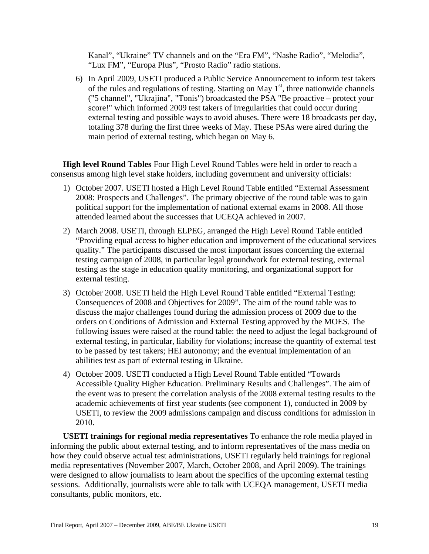Kanal", "Ukraine" TV channels and on the "Era FM", "Nashe Radio", "Melodia", "Lux FM", "Europa Plus", "Prosto Radio" radio stations.

6) In April 2009, USETI produced a Public Service Announcement to inform test takers of the rules and regulations of testing. Starting on May  $1<sup>st</sup>$ , three nationwide channels ("5 channel", "Ukrajina", "Tonis") broadcasted the PSA "Be proactive – protect your score!" which informed 2009 test takers of irregularities that could occur during external testing and possible ways to avoid abuses. There were 18 broadcasts per day, totaling 378 during the first three weeks of May. These PSAs were aired during the main period of external testing, which began on May 6.

**High level Round Tables** Four High Level Round Tables were held in order to reach a consensus among high level stake holders, including government and university officials:

- 1) October 2007. USETI hosted a High Level Round Table entitled "External Assessment 2008: Prospects and Challenges". The primary objective of the round table was to gain political support for the implementation of national external exams in 2008. All those attended learned about the successes that UCEQA achieved in 2007.
- 2) March 2008. USETI, through ELPEG, arranged the High Level Round Table entitled "Providing equal access to higher education and improvement of the educational services quality." The participants discussed the most important issues concerning the external testing campaign of 2008, in particular legal groundwork for external testing, external testing as the stage in education quality monitoring, and organizational support for external testing.
- 3) October 2008. USETI held the High Level Round Table entitled "External Testing: Consequences of 2008 and Objectives for 2009". The aim of the round table was to discuss the major challenges found during the admission process of 2009 due to the orders on Conditions of Admission and External Testing approved by the MOES. The following issues were raised at the round table: the need to adjust the legal background of external testing, in particular, liability for violations; increase the quantity of external test to be passed by test takers; HEI autonomy; and the eventual implementation of an abilities test as part of external testing in Ukraine.
- 4) October 2009. USETI conducted a High Level Round Table entitled "Towards Accessible Quality Higher Education. Preliminary Results and Challenges". The aim of the event was to present the correlation analysis of the 2008 external testing results to the academic achievements of first year students (see component 1), conducted in 2009 by USETI, to review the 2009 admissions campaign and discuss conditions for admission in 2010.

**USETI trainings for regional media representatives** To enhance the role media played in informing the public about external testing, and to inform representatives of the mass media on how they could observe actual test administrations, USETI regularly held trainings for regional media representatives (November 2007, March, October 2008, and April 2009). The trainings were designed to allow journalists to learn about the specifics of the upcoming external testing sessions. Additionally, journalists were able to talk with UCEQA management, USETI media consultants, public monitors, etc.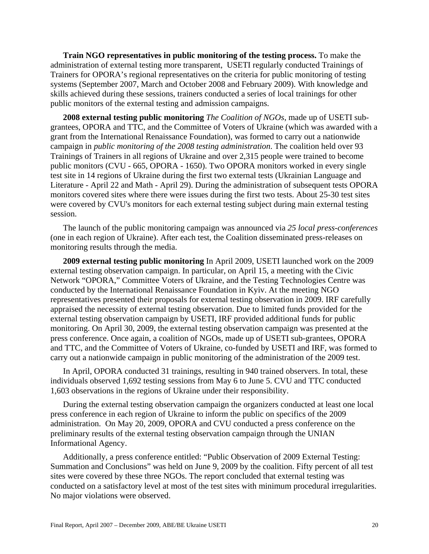**Train NGO representatives in public monitoring of the testing process.** To make the administration of external testing more transparent, USETI regularly conducted Trainings of Trainers for OPORA's regional representatives on the criteria for public monitoring of testing systems (September 2007, March and October 2008 and February 2009). With knowledge and skills achieved during these sessions, trainers conducted a series of local trainings for other public monitors of the external testing and admission campaigns.

**2008 external testing public monitoring** *The Coalition of NGOs*, made up of USETI subgrantees, OPORA and TTC, and the Committee of Voters of Ukraine (which was awarded with a grant from the International Renaissance Foundation), was formed to carry out a nationwide campaign in *public monitoring of the 2008 testing administration*. The coalition held over 93 Trainings of Trainers in all regions of Ukraine and over 2,315 people were trained to become public monitors (CVU - 665, OPORA - 1650). Two OPORA monitors worked in every single test site in 14 regions of Ukraine during the first two external tests (Ukrainian Language and Literature - April 22 and Math - April 29). During the administration of subsequent tests OPORA monitors covered sites where there were issues during the first two tests. About 25-30 test sites were covered by CVU's monitors for each external testing subject during main external testing session.

The launch of the public monitoring campaign was announced via *25 local press-conferences* (one in each region of Ukraine). After each test, the Coalition disseminated press-releases on monitoring results through the media.

**2009 external testing public monitoring** In April 2009, USETI launched work on the 2009 external testing observation campaign. In particular, on April 15, a meeting with the Civic Network "OPORA," Committee Voters of Ukraine, and the Testing Technologies Centre was conducted by the International Renaissance Foundation in Kyiv. At the meeting NGO representatives presented their proposals for external testing observation in 2009. IRF carefully appraised the necessity of external testing observation. Due to limited funds provided for the external testing observation campaign by USETI, IRF provided additional funds for public monitoring. On April 30, 2009, the external testing observation campaign was presented at the press conference. Once again, a coalition of NGOs, made up of USETI sub-grantees, OPORA and TTC, and the Committee of Voters of Ukraine, co-funded by USETI and IRF, was formed to carry out a nationwide campaign in public monitoring of the administration of the 2009 test.

In April, OPORA conducted 31 trainings, resulting in 940 trained observers. In total, these individuals observed 1,692 testing sessions from May 6 to June 5. CVU and TTC conducted 1,603 observations in the regions of Ukraine under their responsibility.

During the external testing observation campaign the organizers conducted at least one local press conference in each region of Ukraine to inform the public on specifics of the 2009 administration. On May 20, 2009, OPORA and CVU conducted a press conference on the preliminary results of the external testing observation campaign through the UNIAN Informational Agency.

Additionally, a press conference entitled: "Public Observation of 2009 External Testing: Summation and Conclusions" was held on June 9, 2009 by the coalition. Fifty percent of all test sites were covered by these three NGOs. The report concluded that external testing was conducted on a satisfactory level at most of the test sites with minimum procedural irregularities. No major violations were observed.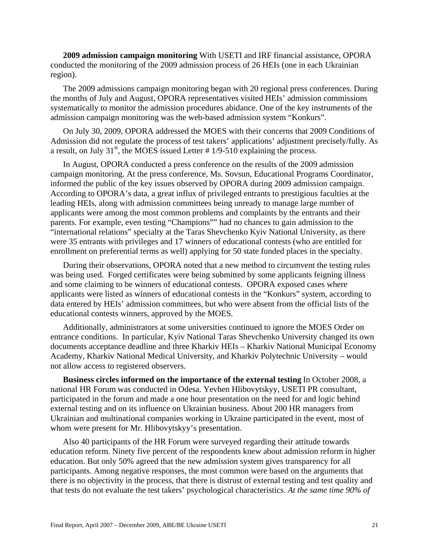**2009 admission campaign monitoring** With USETI and IRF financial assistance, OPORA conducted the monitoring of the 2009 admission process of 26 HEIs (one in each Ukrainian region).

The 2009 admissions campaign monitoring began with 20 regional press conferences. During the months of July and August, OPORA representatives visited HEIs' admission commissions systematically to monitor the admission procedures abidance. One of the key instruments of the admission campaign monitoring was the web-based admission system "Konkurs".

On July 30, 2009, OPORA addressed the MOES with their concerns that 2009 Conditions of Admission did not regulate the process of test takers' applications' adjustment precisely/fully. As a result, on July 31<sup>st</sup>, the MOES issued Letter  $\# 1/9-510$  explaining the process.

In August, OPORA conducted a press conference on the results of the 2009 admission campaign monitoring. At the press conference, Ms. Sovsun, Educational Programs Coordinator, informed the public of the key issues observed by OPORA during 2009 admission campaign. According to OPORA's data, a great influx of privileged entrants to prestigious faculties at the leading HEIs, along with admission committees being unready to manage large number of applicants were among the most common problems and complaints by the entrants and their parents. For example, even testing "Champions"" had no chances to gain admission to the "international relations" specialty at the Taras Shevchenko Kyiv National University, as there were 35 entrants with privileges and 17 winners of educational contests (who are entitled for enrollment on preferential terms as well) applying for 50 state funded places in the specialty.

During their observations, OPORA noted that a new method to circumvent the testing rules was being used. Forged certificates were being submitted by some applicants feigning illness and some claiming to be winners of educational contests. OPORA exposed cases where applicants were listed as winners of educational contests in the "Konkurs" system, according to data entered by HEIs' admission committees, but who were absent from the official lists of the educational contests winners, approved by the MOES.

Additionally, administrators at some universities continued to ignore the MOES Order on entrance conditions. In particular, Kyiv National Taras Shevchenko University changed its own documents acceptance deadline and three Kharkiv HEIs – Kharkiv National Municipal Economy Academy, Kharkiv National Medical University, and Kharkiv Polytechnic University – would not allow access to registered observers.

**Business circles informed on the importance of the external testing** In October 2008, a national HR Forum was conducted in Odesa. Yevhen Hlibovytskyy, USETI PR consultant, participated in the forum and made a one hour presentation on the need for and logic behind external testing and on its influence on Ukrainian business. About 200 HR managers from Ukrainian and multinational companies working in Ukraine participated in the event, most of whom were present for Mr. Hlibovytskyy's presentation.

Also 40 participants of the HR Forum were surveyed regarding their attitude towards education reform. Ninety five percent of the respondents knew about admission reform in higher education. But only 50% agreed that the new admission system gives transparency for all participants. Among negative responses, the most common were based on the arguments that there is no objectivity in the process, that there is distrust of external testing and test quality and that tests do not evaluate the test takers' psychological characteristics. *At the same time 90% of*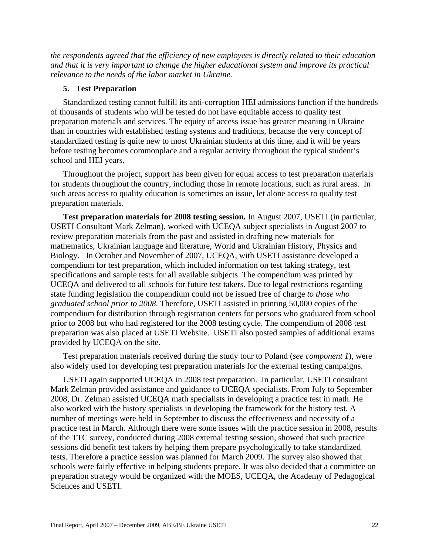*the respondents agreed that the efficiency of new employees is directly related to their education and that it is very important to change the higher educational system and improve its practical relevance to the needs of the labor market in Ukraine.*

#### **5. Test Preparation**

Standardized testing cannot fulfill its anti-corruption HEI admissions function if the hundreds of thousands of students who will be tested do not have equitable access to quality test preparation materials and services. The equity of access issue has greater meaning in Ukraine than in countries with established testing systems and traditions, because the very concept of standardized testing is quite new to most Ukrainian students at this time, and it will be years before testing becomes commonplace and a regular activity throughout the typical student's school and HEI years.

Throughout the project, support has been given for equal access to test preparation materials for students throughout the country, including those in remote locations, such as rural areas. In such areas access to quality education is sometimes an issue, let alone access to quality test preparation materials.

**Test preparation materials for 2008 testing session.** In August 2007, USETI (in particular, USETI Consultant Mark Zelman), worked with UCEQA subject specialists in August 2007 to review preparation materials from the past and assisted in drafting new materials for mathematics, Ukrainian language and literature, World and Ukrainian History, Physics and Biology. In October and November of 2007, UCEQA, with USETI assistance developed a compendium for test preparation, which included information on test taking strategy, test specifications and sample tests for all available subjects. The compendium was printed by UCEQA and delivered to all schools for future test takers. Due to legal restrictions regarding state funding legislation the compendium could not be issued free of charge *to those who graduated school prior to 2008*. Therefore, USETI assisted in printing 50,000 copies of the compendium for distribution through registration centers for persons who graduated from school prior to 2008 but who had registered for the 2008 testing cycle. The compendium of 2008 test preparation was also placed at USETI Website. USETI also posted samples of additional exams provided by UCEQA on the site.

Test preparation materials received during the study tour to Poland (*see component 1*), were also widely used for developing test preparation materials for the external testing campaigns.

USETI again supported UCEQA in 2008 test preparation. In particular, USETI consultant Mark Zelman provided assistance and guidance to UCEQA specialists. From July to September 2008, Dr. Zelman assisted UCEQA math specialists in developing a practice test in math. He also worked with the history specialists in developing the framework for the history test. A number of meetings were held in September to discuss the effectiveness and necessity of a practice test in March. Although there were some issues with the practice session in 2008, results of the TTC survey, conducted during 2008 external testing session, showed that such practice sessions did benefit test takers by helping them prepare psychologically to take standardized tests. Therefore a practice session was planned for March 2009. The survey also showed that schools were fairly effective in helping students prepare. It was also decided that a committee on preparation strategy would be organized with the MOES, UCEQA, the Academy of Pedagogical Sciences and USETI.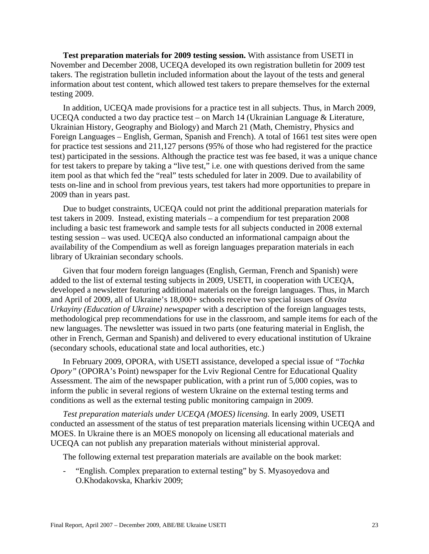**Test preparation materials for 2009 testing session.** With assistance from USETI in November and December 2008, UCEQA developed its own registration bulletin for 2009 test takers. The registration bulletin included information about the layout of the tests and general information about test content, which allowed test takers to prepare themselves for the external testing 2009.

In addition, UCEQA made provisions for a practice test in all subjects. Thus, in March 2009, UCEQA conducted a two day practice test – on March 14 (Ukrainian Language & Literature, Ukrainian History, Geography and Biology) and March 21 (Math, Chemistry, Physics and Foreign Languages – English, German, Spanish and French). A total of 1661 test sites were open for practice test sessions and 211,127 persons (95% of those who had registered for the practice test) participated in the sessions. Although the practice test was fee based, it was a unique chance for test takers to prepare by taking a "live test," i.e. one with questions derived from the same item pool as that which fed the "real" tests scheduled for later in 2009. Due to availability of tests on-line and in school from previous years, test takers had more opportunities to prepare in 2009 than in years past.

Due to budget constraints, UCEQA could not print the additional preparation materials for test takers in 2009. Instead, existing materials – a compendium for test preparation 2008 including a basic test framework and sample tests for all subjects conducted in 2008 external testing session – was used. UCEQA also conducted an informational campaign about the availability of the Compendium as well as foreign languages preparation materials in each library of Ukrainian secondary schools.

Given that four modern foreign languages (English, German, French and Spanish) were added to the list of external testing subjects in 2009, USETI, in cooperation with UCEQA, developed a newsletter featuring additional materials on the foreign languages. Thus, in March and April of 2009, all of Ukraine's 18,000+ schools receive two special issues of *Osvita Urkayiny (Education of Ukraine) newspaper* with a description of the foreign languages tests, methodological prep recommendations for use in the classroom, and sample items for each of the new languages. The newsletter was issued in two parts (one featuring material in English, the other in French, German and Spanish) and delivered to every educational institution of Ukraine (secondary schools, educational state and local authorities, etc.)

In February 2009, OPORA, with USETI assistance, developed a special issue of *"Tochka Opory"* (OPORA's Point) newspaper for the Lviv Regional Centre for Educational Quality Assessment. The aim of the newspaper publication, with a print run of 5,000 copies, was to inform the public in several regions of western Ukraine on the external testing terms and conditions as well as the external testing public monitoring campaign in 2009.

*Test preparation materials under UCEQA (MOES) licensing.* In early 2009, USETI conducted an assessment of the status of test preparation materials licensing within UCEQA and MOES. In Ukraine there is an MOES monopoly on licensing all educational materials and UCEQA can not publish any preparation materials without ministerial approval.

The following external test preparation materials are available on the book market:

"English. Complex preparation to external testing" by S. Myasoyedova and O.Khodakovska, Kharkiv 2009;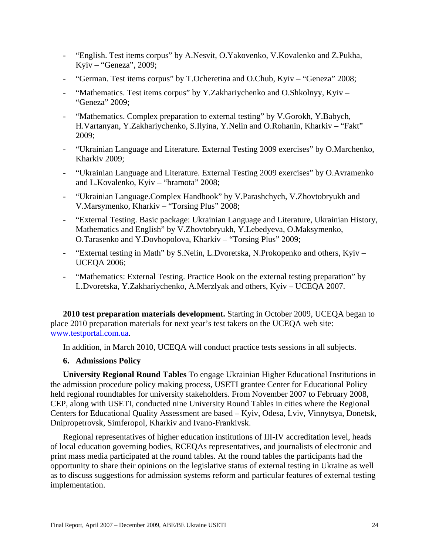- "English. Test items corpus" by A.Nesvit, O.Yakovenko, V.Kovalenko and Z.Pukha, Kyiv – "Geneza", 2009;
- "German. Test items corpus" by T.Ocheretina and O.Chub, Kyiv "Geneza" 2008;
- "Mathematics. Test items corpus" by Y.Zakhariychenko and O.Shkolnyy, Kyiv "Geneza" 2009;
- "Mathematics. Complex preparation to external testing" by V.Gorokh, Y.Babych, H.Vartanyan, Y.Zakhariychenko, S.Ilyina, Y.Nelin and O.Rohanin, Kharkiv – "Fakt" 2009;
- "Ukrainian Language and Literature. External Testing 2009 exercises" by O.Marchenko, Kharkiv 2009;
- "Ukrainian Language and Literature. External Testing 2009 exercises" by O.Avramenko and L.Kovalenko, Kyiv – "hramota" 2008;
- "Ukrainian Language.Complex Handbook" by V.Parashchych, V.Zhovtobryukh and V.Marsymenko, Kharkiv – "Torsing Plus" 2008;
- "External Testing. Basic package: Ukrainian Language and Literature, Ukrainian History, Mathematics and English" by V.Zhovtobryukh, Y.Lebedyeva, O.Maksymenko, O.Tarasenko and Y.Dovhopolova, Kharkiv – "Torsing Plus" 2009;
- "External testing in Math" by S.Nelin, L.Dvoretska, N.Prokopenko and others, Kyiv UCEQA 2006;
- "Mathematics: External Testing. Practice Book on the external testing preparation" by L.Dvoretska, Y.Zakhariychenko, A.Merzlyak and others, Kyiv – UCEQA 2007.

**2010 test preparation materials development.** Starting in October 2009, UCEQA began to place 2010 preparation materials for next year's test takers on the UCEQA web site: www.testportal.com.ua.

In addition, in March 2010, UCEQA will conduct practice tests sessions in all subjects.

## **6. Admissions Policy**

**University Regional Round Tables** To engage Ukrainian Higher Educational Institutions in the admission procedure policy making process, USETI grantee Center for Educational Policy held regional roundtables for university stakeholders. From November 2007 to February 2008, CEP, along with USETI, conducted nine University Round Tables in cities where the Regional Centers for Educational Quality Assessment are based – Kyiv, Odesa, Lviv, Vinnytsya, Donetsk, Dnipropetrovsk, Simferopol, Kharkiv and Ivano-Frankivsk.

Regional representatives of higher education institutions of III-IV accreditation level, heads of local education governing bodies, RCEQAs representatives, and journalists of electronic and print mass media participated at the round tables. At the round tables the participants had the opportunity to share their opinions on the legislative status of external testing in Ukraine as well as to discuss suggestions for admission systems reform and particular features of external testing implementation.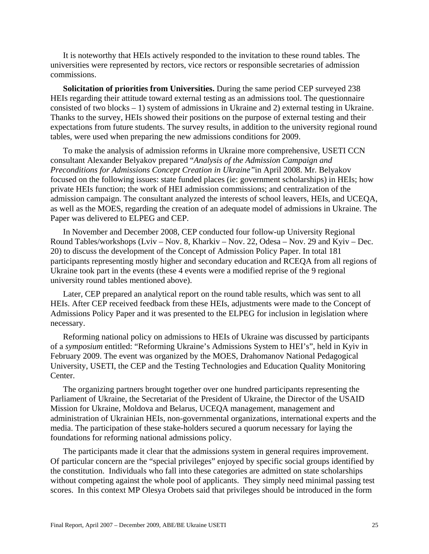It is noteworthy that HEIs actively responded to the invitation to these round tables. The universities were represented by rectors, vice rectors or responsible secretaries of admission commissions.

**Solicitation of priorities from Universities.** During the same period CEP surveyed 238 HEIs regarding their attitude toward external testing as an admissions tool. The questionnaire consisted of two blocks – 1) system of admissions in Ukraine and 2) external testing in Ukraine. Thanks to the survey, HEIs showed their positions on the purpose of external testing and their expectations from future students. The survey results, in addition to the university regional round tables, were used when preparing the new admissions conditions for 2009.

To make the analysis of admission reforms in Ukraine more comprehensive, USETI CCN consultant Alexander Belyakov prepared "*Analysis of the Admission Campaign and Preconditions for Admissions Concept Creation in Ukraine"*in April 2008. Mr. Belyakov focused on the following issues: state funded places (ie: government scholarships) in HEIs; how private HEIs function; the work of HEI admission commissions; and centralization of the admission campaign. The consultant analyzed the interests of school leavers, HEIs, and UCEQA, as well as the MOES, regarding the creation of an adequate model of admissions in Ukraine. The Paper was delivered to ELPEG and CEP.

In November and December 2008, CEP conducted four follow-up University Regional Round Tables/workshops (Lviv – Nov. 8, Kharkiv – Nov. 22, Odesa – Nov. 29 and Kyiv – Dec. 20) to discuss the development of the Concept of Admission Policy Paper. In total 181 participants representing mostly higher and secondary education and RCEQA from all regions of Ukraine took part in the events (these 4 events were a modified reprise of the 9 regional university round tables mentioned above).

Later, CEP prepared an analytical report on the round table results, which was sent to all HEIs. After CEP received feedback from these HEIs, adjustments were made to the Concept of Admissions Policy Paper and it was presented to the ELPEG for inclusion in legislation where necessary.

Reforming national policy on admissions to HEIs of Ukraine was discussed by participants of a *symposium* entitled: "Reforming Ukraine's Admissions System to HEI's", held in Kyiv in February 2009. The event was organized by the MOES, Drahomanov National Pedagogical University, USETI, the CEP and the Testing Technologies and Education Quality Monitoring Center.

The organizing partners brought together over one hundred participants representing the Parliament of Ukraine, the Secretariat of the President of Ukraine, the Director of the USAID Mission for Ukraine, Moldova and Belarus, UCEQA management, management and administration of Ukrainian HEIs, non-governmental organizations, international experts and the media. The participation of these stake-holders secured a quorum necessary for laying the foundations for reforming national admissions policy.

The participants made it clear that the admissions system in general requires improvement. Of particular concern are the "special privileges" enjoyed by specific social groups identified by the constitution. Individuals who fall into these categories are admitted on state scholarships without competing against the whole pool of applicants. They simply need minimal passing test scores. In this context MP Olesya Orobets said that privileges should be introduced in the form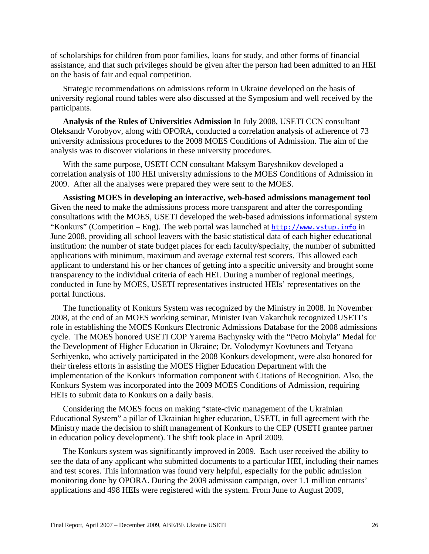of scholarships for children from poor families, loans for study, and other forms of financial assistance, and that such privileges should be given after the person had been admitted to an HEI on the basis of fair and equal competition.

Strategic recommendations on admissions reform in Ukraine developed on the basis of university regional round tables were also discussed at the Symposium and well received by the participants.

**Analysis of the Rules of Universities Admission** In July 2008, USETI CCN consultant Oleksandr Vorobyov, along with OPORA, conducted a correlation analysis of adherence of 73 university admissions procedures to the 2008 MOES Conditions of Admission. The aim of the analysis was to discover violations in these university procedures.

With the same purpose, USETI CCN consultant Maksym Baryshnikov developed a correlation analysis of 100 HEI university admissions to the MOES Conditions of Admission in 2009. After all the analyses were prepared they were sent to the MOES.

**Assisting MOES in developing an interactive, web-based admissions management tool** Given the need to make the admissions process more transparent and after the corresponding consultations with the MOES, USETI developed the web-based admissions informational system "Konkurs" (Competition – Eng). The web portal was launched at [http://www.vstup.info](http://www.vstup.info/) in June 2008, providing all school leavers with the basic statistical data of each higher educational institution: the number of state budget places for each faculty/specialty, the number of submitted applications with minimum, maximum and average external test scorers. This allowed each applicant to understand his or her chances of getting into a specific university and brought some transparency to the individual criteria of each HEI. During a number of regional meetings, conducted in June by MOES, USETI representatives instructed HEIs' representatives on the portal functions.

The functionality of Konkurs System was recognized by the Ministry in 2008. In November 2008, at the end of an MOES working seminar, Minister Ivan Vakarchuk recognized USETI's role in establishing the MOES Konkurs Electronic Admissions Database for the 2008 admissions cycle. The MOES honored USETI COP Yarema Bachynsky with the "Petro Mohyla" Medal for the Development of Higher Education in Ukraine; Dr. Volodymyr Kovtunets and Tetyana Serhiyenko, who actively participated in the 2008 Konkurs development, were also honored for their tireless efforts in assisting the MOES Higher Education Department with the implementation of the Konkurs information component with Citations of Recognition. Also, the Konkurs System was incorporated into the 2009 MOES Conditions of Admission, requiring HEIs to submit data to Konkurs on a daily basis.

Considering the MOES focus on making "state-civic management of the Ukrainian Educational System" a pillar of Ukrainian higher education, USETI, in full agreement with the Ministry made the decision to shift management of Konkurs to the CEP (USETI grantee partner in education policy development). The shift took place in April 2009.

The Konkurs system was significantly improved in 2009. Each user received the ability to see the data of any applicant who submitted documents to a particular HEI, including their names and test scores. This information was found very helpful, especially for the public admission monitoring done by OPORA. During the 2009 admission campaign, over 1.1 million entrants' applications and 498 HEIs were registered with the system. From June to August 2009,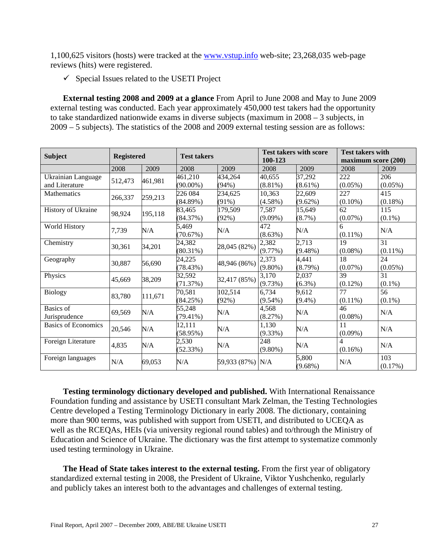1,100,625 visitors (hosts) were tracked at the [www.vstup.info](http://www.vstup.info/) web-site; 23,268,035 web-page reviews (hits) were registered.

 $\checkmark$  Special Issues related to the USETI Project

**External testing 2008 and 2009 at a glance** From April to June 2008 and May to June 2009 external testing was conducted. Each year approximately 450,000 test takers had the opportunity to take standardized nationwide exams in diverse subjects (maximum in 2008 – 3 subjects, in 2009 – 5 subjects). The statistics of the 2008 and 2009 external testing session are as follows:

| <b>Subject</b>             | <b>Registered</b> |         | <b>Test takers</b> |                  | <b>Test takers with score</b><br>100-123 |            | <b>Test takers with</b><br>maximum score (200) |            |
|----------------------------|-------------------|---------|--------------------|------------------|------------------------------------------|------------|------------------------------------------------|------------|
|                            | 2008              | 2009    | 2008               | 2009             | 2008                                     | 2009       | 2008                                           | 2009       |
| Ukrainian Language         | 512,473           | 461,981 | 461,210            | 434,264          | 40.655                                   | 37,292     | 222                                            | 206        |
| and Literature             |                   |         | $(90.00\%)$        | (94%)            | $(8.81\%)$                               | $(8.61\%)$ | $(0.05\%)$                                     | $(0.05\%)$ |
| <b>Mathematics</b>         | 266,337           | 259,213 | 226 084            | 234,625          | 10,363                                   | 22,609     | 227                                            | 415        |
|                            |                   |         | $(84.89\%)$        | $(91\%)$         | $(4.58\%)$                               | $(9.62\%)$ | $(0.10\%)$                                     | $(0.18\%)$ |
| History of Ukraine         | 98,924            | 195,118 | 83,465             | 179,509          | 7,587                                    | 15,649     | 62                                             | 115        |
|                            |                   |         | (84.37%)           | (92%)            | $(9.09\%)$                               | $(8.7\%)$  | $(0.07\%)$                                     | $(0.1\%)$  |
| World History              | 7,739             | N/A     | 5,469              | N/A              | 472                                      | N/A        | 6                                              | N/A        |
|                            |                   |         | (70.67%)           |                  | $(8.63\%)$                               |            | $(0.11\%)$                                     |            |
| Chemistry                  | 30,361            | 34,201  | 24,382             | 28,045 (82%)     | 2,382                                    | 2,713      | 19                                             | 31         |
|                            |                   |         | $(80.31\%)$        |                  | $(9.77\%)$                               | $(9.48\%)$ | $(0.08\%)$                                     | $(0.11\%)$ |
| Geography                  | 30,887            | 56,690  | 24,225             | 48,946 (86%)     | 2,373                                    | 4,441      | 18                                             | 24         |
|                            |                   |         | (78.43%)           |                  | $(9.80\%)$                               | (8.79%)    | $(0.07\%)$                                     | $(0.05\%)$ |
| Physics                    | 45,669            | 38,209  | 32,592             | 32,417 (85%)     | 3,170                                    | 2,037      | 39                                             | 31         |
|                            |                   |         | (71.37%)           |                  | (9.73%)                                  | $(6.3\%)$  | $(0.12\%)$                                     | $(0.1\%)$  |
| <b>Biology</b>             | 83,780            | 111,671 | 70,581             | 102,514          | 6,734                                    | 9,612      | 77                                             | 56         |
|                            |                   |         | (84.25%)           | $(92\%)$         | $(9.54\%)$                               | $(9.4\%)$  | $(0.11\%)$                                     | $(0.1\%)$  |
| <b>Basics</b> of           | 69,569            | N/A     | 55,248             | N/A              | 4,568                                    | N/A        | 46                                             | N/A        |
| Jurisprudence              |                   |         | $(79.41\%)$        |                  | (8.27%)                                  |            | $(0.08\%)$                                     |            |
| <b>Basics of Economics</b> | 20,546            |         | 12,111             | N/A              | 1,130                                    |            | 11                                             | N/A        |
|                            |                   | N/A     | (58.95%)           |                  | $(9.33\%)$                               | N/A        | $(0.09\%)$                                     |            |
| Foreign Literature         | 4,835             | N/A     | 2,530              | N/A              | 248                                      | N/A        | 4                                              | N/A        |
|                            |                   |         | (52.33%)           |                  | $(9.80\%)$                               |            | $(0.16\%)$                                     |            |
| Foreign languages          | N/A               | 69,053  | N/A                | 59,933 (87%) N/A |                                          | 5,800      | N/A                                            | 103        |
|                            |                   |         |                    |                  |                                          | $(9.68\%)$ |                                                | (0.17%)    |

**Testing terminology dictionary developed and published.** With International Renaissance Foundation funding and assistance by USETI consultant Mark Zelman, the Testing Technologies Centre developed a Testing Terminology Dictionary in early 2008. The dictionary, containing more than 900 terms, was published with support from USETI, and distributed to UCEQA as well as the RCEQAs, HEIs (via university regional round tables) and to/through the Ministry of Education and Science of Ukraine. The dictionary was the first attempt to systematize commonly used testing terminology in Ukraine.

**The Head of State takes interest to the external testing.** From the first year of obligatory standardized external testing in 2008, the President of Ukraine, Viktor Yushchenko, regularly and publicly takes an interest both to the advantages and challenges of external testing.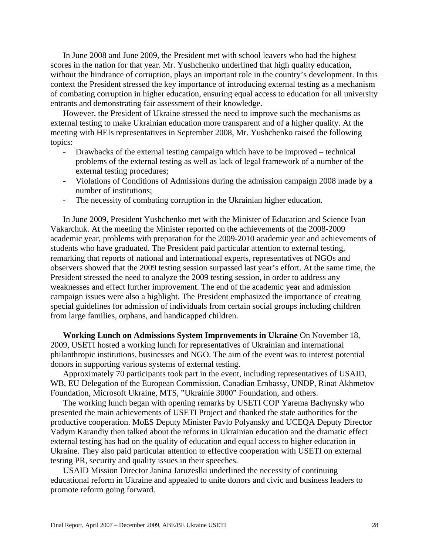In June 2008 and June 2009, the President met with school leavers who had the highest scores in the nation for that year. Mr. Yushchenko underlined that high quality education, without the hindrance of corruption, plays an important role in the country's development. In this context the President stressed the key importance of introducing external testing as a mechanism of combating corruption in higher education, ensuring equal access to education for all university entrants and demonstrating fair assessment of their knowledge.

However, the President of Ukraine stressed the need to improve such the mechanisms as external testing to make Ukrainian education more transparent and of a higher quality. At the meeting with HEIs representatives in September 2008, Mr. Yushchenko raised the following topics:

- Drawbacks of the external testing campaign which have to be improved technical problems of the external testing as well as lack of legal framework of a number of the external testing procedures;
- Violations of Conditions of Admissions during the admission campaign 2008 made by a number of institutions;
- The necessity of combating corruption in the Ukrainian higher education.

In June 2009, President Yushchenko met with the Minister of Education and Science Ivan Vakarchuk. At the meeting the Minister reported on the achievements of the 2008-2009 academic year, problems with preparation for the 2009-2010 academic year and achievements of students who have graduated. The President paid particular attention to external testing, remarking that reports of national and international experts, representatives of NGOs and observers showed that the 2009 testing session surpassed last year's effort. At the same time, the President stressed the need to analyze the 2009 testing session, in order to address any weaknesses and effect further improvement. The end of the academic year and admission campaign issues were also a highlight. The President emphasized the importance of creating special guidelines for admission of individuals from certain social groups including children from large families, orphans, and handicapped children.

**Working Lunch on Admissions System Improvements in Ukraine** On November 18, 2009, USETI hosted a working lunch for representatives of Ukrainian and international philanthropic institutions, businesses and NGO. The aim of the event was to interest potential donors in supporting various systems of external testing.

Approximately 70 participants took part in the event, including representatives of USAID, WB, EU Delegation of the European Commission, Canadian Embassy, UNDP, Rinat Akhmetov Foundation, Microsoft Ukraine, MTS, "Ukrainie 3000" Foundation, and others.

The working lunch began with opening remarks by USETI COP Yarema Bachynsky who presented the main achievements of USETI Project and thanked the state authorities for the productive cooperation. MoES Deputy Minister Pavlo Polyansky and UCEQA Deputy Director Vadym Karandiy then talked about the reforms in Ukrainian education and the dramatic effect external testing has had on the quality of education and equal access to higher education in Ukraine. They also paid particular attention to effective cooperation with USETI on external testing PR, security and quality issues in their speeches.

USAID Mission Director Janina Jaruzeslki underlined the necessity of continuing educational reform in Ukraine and appealed to unite donors and civic and business leaders to promote reform going forward.